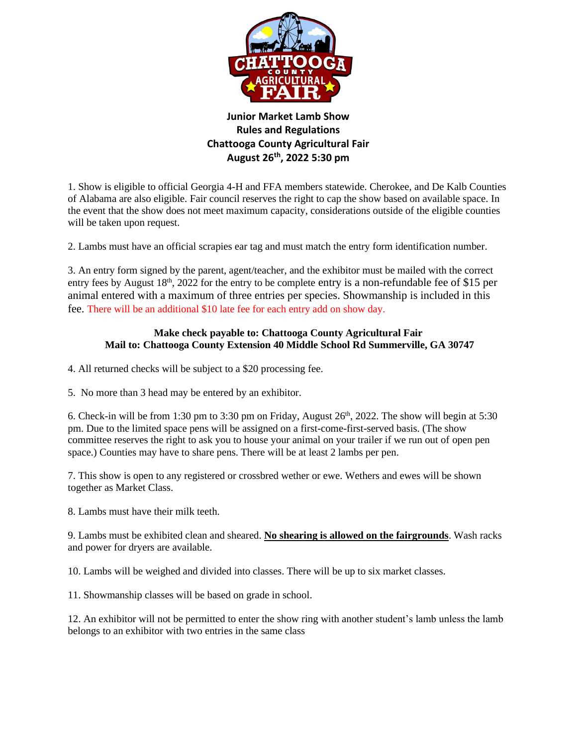

## **Junior Market Lamb Show Rules and Regulations Chattooga County Agricultural Fair August 26 th, 2022 5:30 pm**

1. Show is eligible to official Georgia 4-H and FFA members statewide. Cherokee, and De Kalb Counties of Alabama are also eligible. Fair council reserves the right to cap the show based on available space. In the event that the show does not meet maximum capacity, considerations outside of the eligible counties will be taken upon request.

2. Lambs must have an official scrapies ear tag and must match the entry form identification number.

3. An entry form signed by the parent, agent/teacher, and the exhibitor must be mailed with the correct entry fees by August 18<sup>th</sup>, 2022 for the entry to be complete entry is a non-refundable fee of \$15 per animal entered with a maximum of three entries per species. Showmanship is included in this fee. There will be an additional \$10 late fee for each entry add on show day.

## **Make check payable to: Chattooga County Agricultural Fair Mail to: Chattooga County Extension 40 Middle School Rd Summerville, GA 30747**

- 4. All returned checks will be subject to a \$20 processing fee.
- 5. No more than 3 head may be entered by an exhibitor.

6. Check-in will be from 1:30 pm to 3:30 pm on Friday, August  $26<sup>th</sup>$ , 2022. The show will begin at 5:30 pm. Due to the limited space pens will be assigned on a first-come-first-served basis. (The show committee reserves the right to ask you to house your animal on your trailer if we run out of open pen space.) Counties may have to share pens. There will be at least 2 lambs per pen.

7. This show is open to any registered or crossbred wether or ewe. Wethers and ewes will be shown together as Market Class.

8. Lambs must have their milk teeth.

9. Lambs must be exhibited clean and sheared. **No shearing is allowed on the fairgrounds**. Wash racks and power for dryers are available.

10. Lambs will be weighed and divided into classes. There will be up to six market classes.

11. Showmanship classes will be based on grade in school.

12. An exhibitor will not be permitted to enter the show ring with another student's lamb unless the lamb belongs to an exhibitor with two entries in the same class